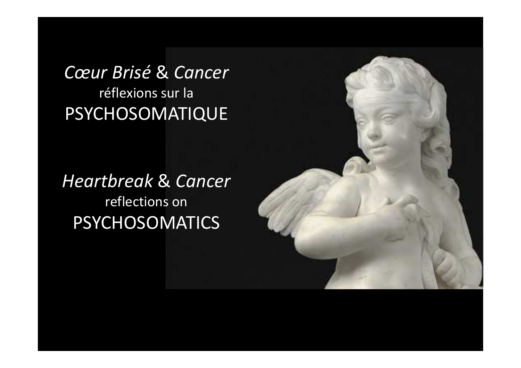*Cœur Brisé* & *Cancer*réflexions sur laPSYCHOSOMATIQUE

*Heartbreak* & *Cancer* reflections onPSYCHOSOMATICS

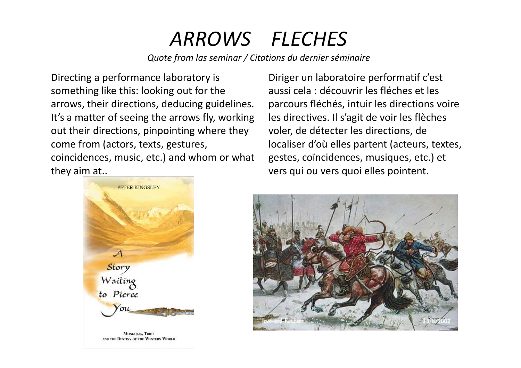# *ARROWS FLECHES*

*Quote from las seminar / Citations du dernier séminaire*

Directing a performance laboratory is something like this: looking out for the arrows, their directions, deducing guidelines. It's a matter of seeing the arrows fly, working out their directions, pinpointing where they come from (actors, texts, gestures, coincidences, music, etc.) and whom or what they aim at..

Diriger un laboratoire performatif c'est aussi cela : découvrir les fléches et les parcours fléchés, intuir les directions voire les directives. Il s'agit de voir les flèches voler, de détecter les directions, de localiser d'où elles partent (acteurs, textes, gestes, coïncidences, musiques, etc.) et vers qui ou vers quoi elles pointent.



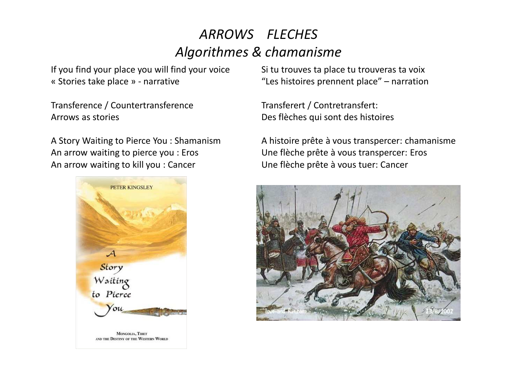#### *ARROWS FLECHESAlgorithmes & chamanisme*

If you find your place you will find your voice« Stories take place » - narrative

Transference / CountertransferenceArrows as stories

A Story Waiting to Pierce You : ShamanismAn arrow waiting to pierce you : ErosAn arrow waiting to kill you : Cancer



Si tu trouves ta place tu trouveras ta voix"Les histoires prennent place" – narration

Transferert / Contretransfert: Des flèches qui sont des histoires

A histoire prête à vous transpercer: chamanismeUne flèche prête à vous transpercer: ErosUne flèche prête à vous tuer: Cancer

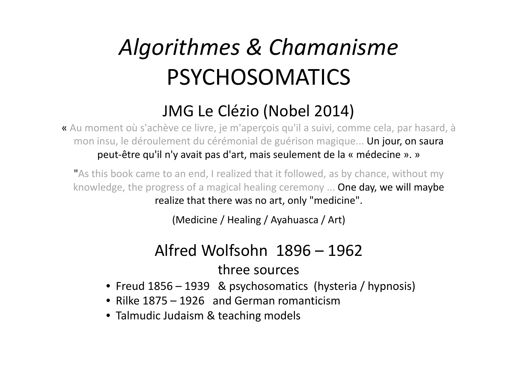# *Algorithmes & Chamanisme*PSYCHOSOMATICS

### JMG Le Clézio (Nobel 2014)

« Au moment où s'achève ce livre, je m'aperçois qu'il a suivi, comme cela, par hasard, à mon insu, le déroulement du cérémonial de guérison magique... Un jour, on saura peut-être qu'il n'y avait pas d'art, mais seulement de la « médecine ». »

"As this book came to an end, I realized that it followed, as by chance, without my knowledge, the progress of a magical healing ceremony ... One day, we will maybe realize that there was no art, only "medicine".

(Medicine / Healing / Ayahuasca / Art)

#### Alfred Wolfsohn 1896 – <sup>1962</sup>three sources

- Freud 1856 1939 & psychosomatics (hysteria / hypnosis)
- Rilke 1875 1926 and German romanticism
- Talmudic Judaism & teaching models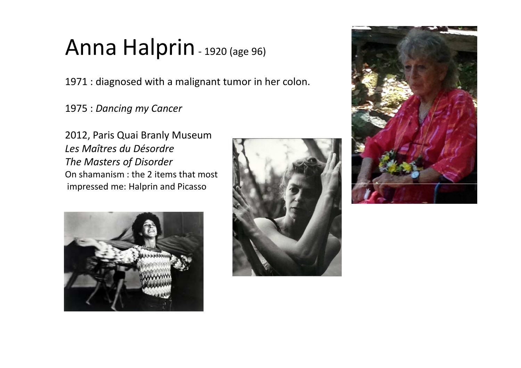# Anna Halprin - 1920 (age 96)

1971 : diagnosed with a malignant tumor in her colon.

1975 : *Dancing my Cancer*

2012, Paris Quai Branly Museum*Les Maîtres du Désordre The Masters of Disorder* On shamanism : the 2 items that mostimpressed me: Halprin and Picasso





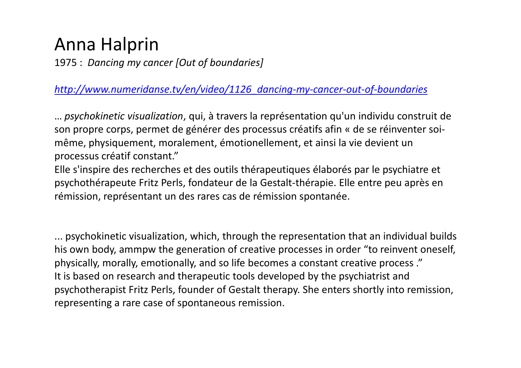## Anna Halprin

1975 : *Dancing my cancer [Out of boundaries]*

*[http://www.numeridanse.tv/en/video/1126\\_dancing-my-cancer-out-of-boundaries](http://www.numeridanse.tv/en/video/1126_dancing-my-cancer-out-of-boundaries)*

… *psychokinetic visualization*, qui, à travers la représentation qu'un individu construit de son propre corps, permet de générer des processus créatifs afin « de se réinventer soimême, physiquement, moralement, émotionellement, et ainsi la vie devient un processus créatif constant."

 Elle s'inspire des recherches et des outils thérapeutiques élaborés par le psychiatre et psychothérapeute Fritz Perls, fondateur de la Gestalt-thérapie. Elle entre peu après en rémission, représentant un des rares cas de rémission spontanée.

... psychokinetic visualization, which, through the representation that an individual builds his own body, ammpw the generation of creative processes in order "to reinvent oneself, physically, morally, emotionally, and so life becomes a constant creative process ."It is based on research and therapeutic tools developed by the psychiatrist and psychotherapist Fritz Perls, founder of Gestalt therapy. She enters shortly into remission, representing a rare case of spontaneous remission.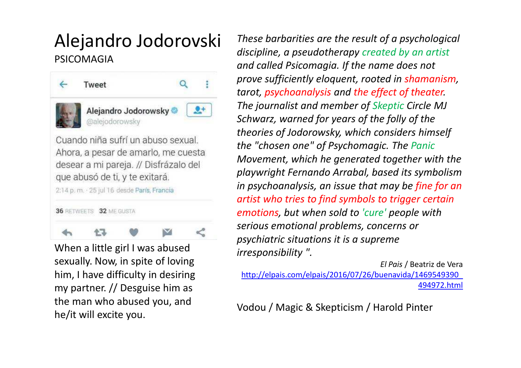#### Alejandro JodorovskiPSICOMAGIA



When a little girl I was abused sexually. Now, in spite of loving him, I have difficulty in desiring my partner. // Desguise him as the man who abused you, and he/it will excite you.

*These barbarities are the result of a psychologicaldiscipline, a pseudotherapy created by an artist and called Psicomagia. If the name does not prove sufficiently eloquent, rooted in shamanism, tarot, psychoanalysis and the effect of theater. The journalist and member of Skeptic Circle MJ Schwarz, warned for years of the folly of the theories of Jodorowsky, which considers himself the "chosen one" of Psychomagic. The Panic Movement, which he generated together with the playwright Fernando Arrabal, based its symbolism in psychoanalysis, an issue that may be fine for an artist who tries to find symbols to trigger certainemotions, but when sold to 'cure' people with serious emotional problems, concerns or psychiatric situations it is a supreme irresponsibility ".*

*El Pais* / Beatriz de Vera [http://elpais.com/elpais/2016/07/26/buenavida/1469549390\\_](http://elpais.com/elpais/2016/07/26/buenavida/1469549390_)494972.html

Vodou / Magic & Skepticism / Harold Pinter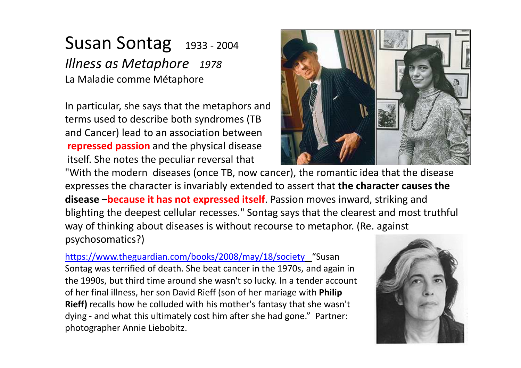#### Susan Sontag 1933 - 2004 *Illness as Metaphore 1978*La Maladie comme Métaphore

In particular, she says that the metaphors andterms used to describe both syndromes (TB and Cancer) lead to an association between **repressed passion** and the physical diseaseitself. She notes the peculiar reversal that



 "With the modern diseases (once TB, now cancer), the romantic idea that the disease expresses the character is invariably extended to assert that **the character causes the disease** –**because it has not expressed itself**. Passion moves inward, striking and blighting the deepest cellular recesses." Sontag says that the clearest and most truthful way of thinking about diseases is without recourse to metaphor. (Re. against psychosomatics?)

<https://www.theguardian.com/books/2008/may/18/society> "Susan Sontag was terrified of death. She beat cancer in the 1970s, and again in the 1990s, but third time around she wasn't so lucky. In a tender account of her final illness, her son David Rieff (son of her mariage with **Philip Rieff)** recalls how he colluded with his mother's fantasy that she wasn't dying - and what this ultimately cost him after she had gone." Partner: photographer Annie Liebobitz.

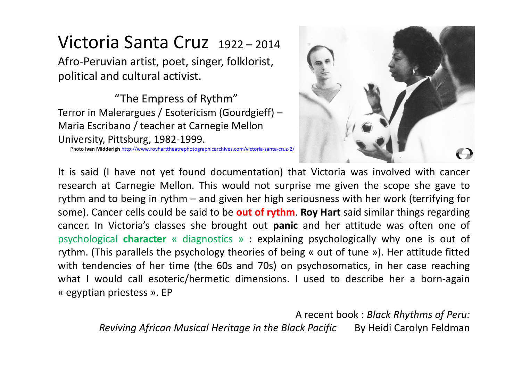## Victoria Santa Cruz 1922 – <sup>2014</sup>

Afro-Peruvian artist, poet, singer, folklorist, political and cultural activist.

"The Empress of Rythm" Terror in Malerargues / Esotericism (Gourdgieff) –Maria Escribano / teacher at Carnegie Mellon University, Pittsburg, 1982-1999.

Photo **Ivan Midderigh** <http://www.royharttheatrephotographicarchives.com/victoria-santa-cruz-2/>



It is said (I have not yet found documentation) that Victoria was involved with cancer research at Carnegie Mellon. This would not surprise me given the scope she gave to rythm and to being in rythm – and given her high seriousness with her work (terrifying for some). Cancer cells could be said to be **out of rythm**. **Roy Hart** said similar things regarding cancer. In Victoria's classes she brought out **panic** and her attitude was often one of psychological **character** « diagnostics » : explaining psychologically why one is out of rythm. (This parallels the psychology theories of being « out of tune »). Her attitude fitted with tendencies of her time (the 60s and 70s) on psychosomatics, in her case reaching what I would call esoteric/hermetic dimensions. I used to describe her a born-again « egyptian priestess ». EP

A recent book : *Black Rhythms of Peru:Reviving African Musical Heritage in the Black Pacific* By Heidi Carolyn Feldman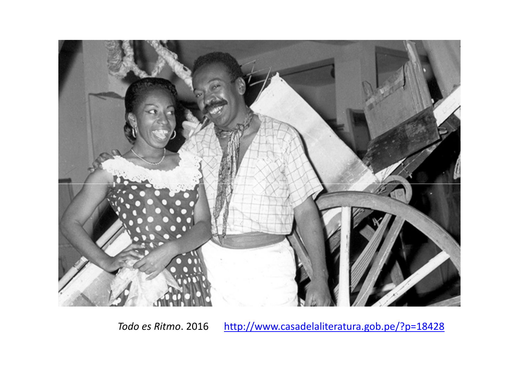

Todo es Ritmo. 2016 <http://www.casadelaliteratura.gob.pe/?p=18428>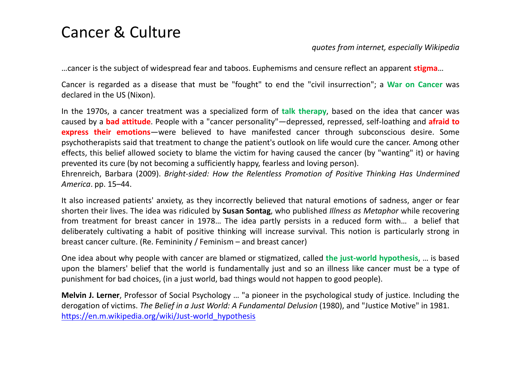#### Cancer & Culture

#### *quotes from internet, especially Wikipedia*

…cancer is the subject of widespread fear and taboos. Euphemisms and censure reflect an apparent **stigma**…

Cancer is regarded as <sup>a</sup> disease that must be "fought" to end the "civil insurrection"; <sup>a</sup> **War on Cancer** was declared in the US (Nixon).

In the 1970s, <sup>a</sup> cancer treatment was <sup>a</sup> specialized form of **talk therapy**, based on the idea that cancer was caused by <sup>a</sup> **bad attitude**. People with <sup>a</sup> "cancer personality"—depressed, repressed, self-loathing and **afraid to express their emotions**—were believed to have manifested cancer through subconscious desire. Some psychotherapists said that treatment to change the patient's outlook on life would cure the cancer. Among other effects, this belief allowed society to blame the victim for having caused the cancer (by "wanting" it) or having prevented its cure (by not becoming <sup>a</sup> sufficiently happy, fearless and loving person).

Ehrenreich, Barbara (2009). Bright-sided: How the Relentless Promotion of Positive Thinking Has Undermined *America* . pp. 15–44.

It also increased patients' anxiety, as they incorrectly believed that natural emotions of sadness, anger or fear shorten their lives. The idea was ridiculed by **Susan Sontag**, who published *Illness as Metaphor* while recovering from treatment for breast cancer in 1978… The idea partly persists in <sup>a</sup> reduced form with… <sup>a</sup> belief that deliberately cultivating <sup>a</sup> habit of positive thinking will increase survival. This notion is particularly strong inbreast cancer culture. (Re. Femininity / Feminism – and breast cancer)

One idea about why people with cancer are blamed or stigmatized, called **the just-world hypothesis**, … is based upon the blamers' belief that the world is fundamentally just and so an illness like cancer must be <sup>a</sup> type of punishment for bad choices, (in <sup>a</sup> just world, bad things would not happen to good people).

**Melvin J. Lerner**, Professor of Social Psychology … "a pioneer in the psychological study of justice. Including the derogation of victims. *The Belief in a Just World: A Fundamental Delusion* (1980), and "Justice Motive" in 1981. [https://en.m.wikipedia.org/wiki/Just-world\\_hypothesis](https://en.m.wikipedia.org/wiki/Just-world_hypothesis)